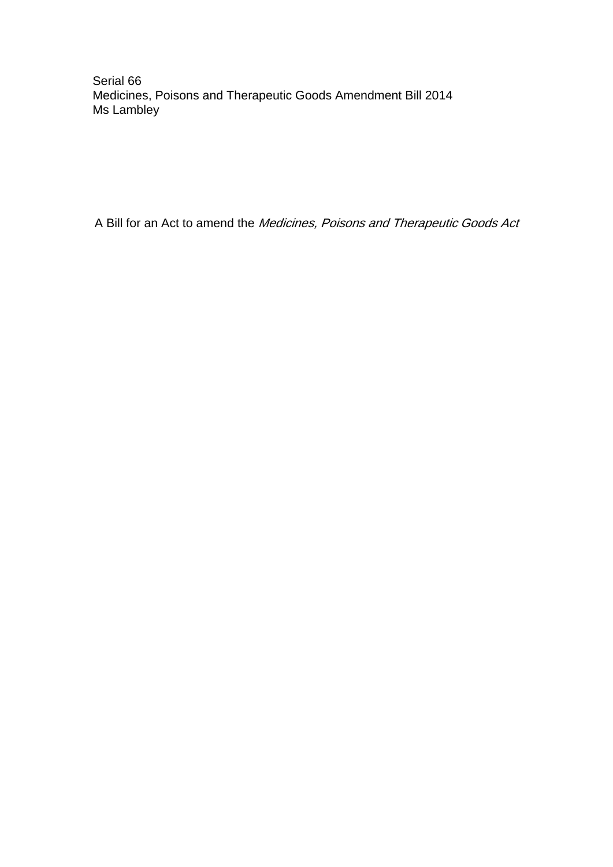Serial 66 Medicines, Poisons and Therapeutic Goods Amendment Bill 2014 Ms Lambley

A Bill for an Act to amend the Medicines, Poisons and Therapeutic Goods Act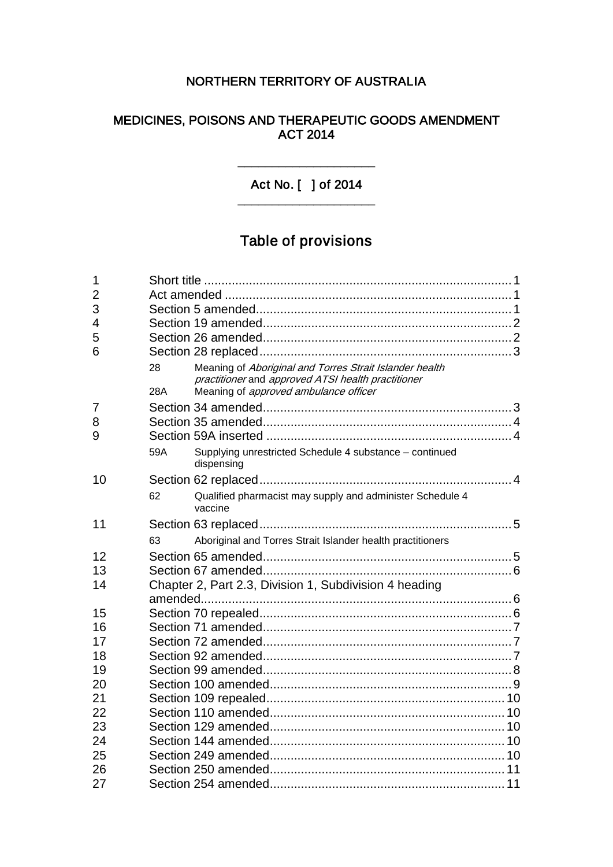# NORTHERN TERRITORY OF AUSTRALIA

# MEDICINES, POISONS AND THERAPEUTIC GOODS AMENDMENT ACT 2014

Act No. [ ] of 2014 \_\_\_\_\_\_\_\_\_\_\_\_\_\_\_\_\_\_\_\_

\_\_\_\_\_\_\_\_\_\_\_\_\_\_\_\_\_\_\_\_

# Table of provisions

| 1              |                                                                                                                                                                     |  |
|----------------|---------------------------------------------------------------------------------------------------------------------------------------------------------------------|--|
| $\overline{2}$ |                                                                                                                                                                     |  |
| 3              |                                                                                                                                                                     |  |
| $\overline{4}$ |                                                                                                                                                                     |  |
| 5              |                                                                                                                                                                     |  |
| 6              |                                                                                                                                                                     |  |
|                | Meaning of Aboriginal and Torres Strait Islander health<br>28<br>practitioner and approved ATSI health practitioner<br>Meaning of approved ambulance officer<br>28A |  |
| 7              |                                                                                                                                                                     |  |
| 8              |                                                                                                                                                                     |  |
| 9              |                                                                                                                                                                     |  |
|                | Supplying unrestricted Schedule 4 substance - continued<br>59A<br>dispensing                                                                                        |  |
| 10             |                                                                                                                                                                     |  |
|                | Qualified pharmacist may supply and administer Schedule 4<br>62<br>vaccine                                                                                          |  |
| 11             |                                                                                                                                                                     |  |
|                | Aboriginal and Torres Strait Islander health practitioners<br>63                                                                                                    |  |
| 12             |                                                                                                                                                                     |  |
| 13             |                                                                                                                                                                     |  |
| 14             | Chapter 2, Part 2.3, Division 1, Subdivision 4 heading                                                                                                              |  |
|                |                                                                                                                                                                     |  |
| 15             |                                                                                                                                                                     |  |
| 16             |                                                                                                                                                                     |  |
| 17             |                                                                                                                                                                     |  |
| 18             |                                                                                                                                                                     |  |
| 19             |                                                                                                                                                                     |  |
| 20             |                                                                                                                                                                     |  |
| 21             |                                                                                                                                                                     |  |
| 22             |                                                                                                                                                                     |  |
| 23             |                                                                                                                                                                     |  |
| 24             |                                                                                                                                                                     |  |
| 25             |                                                                                                                                                                     |  |
| 26             |                                                                                                                                                                     |  |
| 27             |                                                                                                                                                                     |  |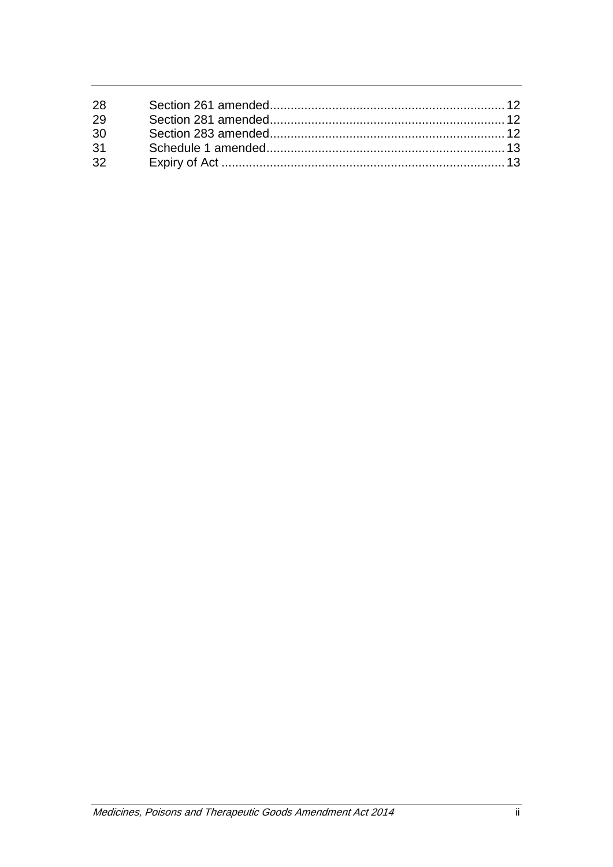| 28 |  |
|----|--|
| 29 |  |
| 30 |  |
| 31 |  |
| 32 |  |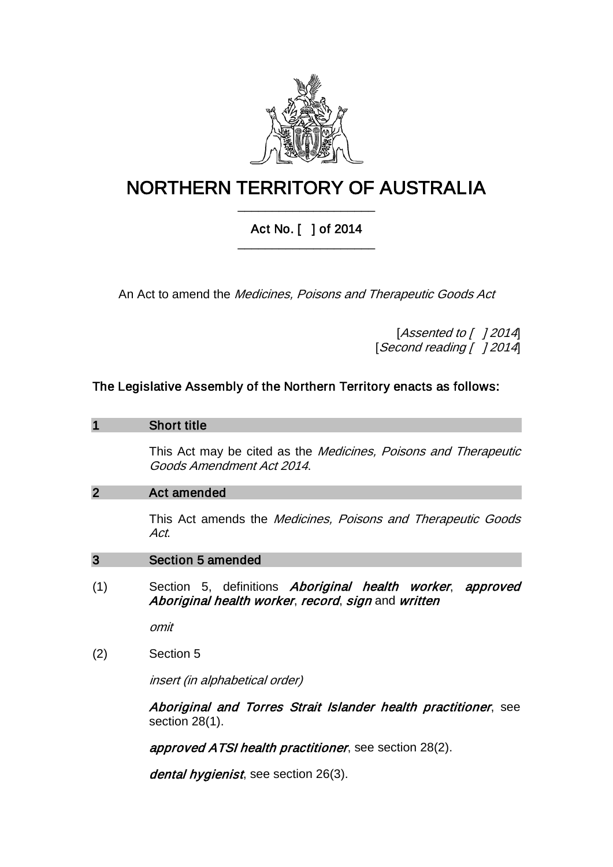

# NORTHERN TERRITORY OF AUSTRALIA \_\_\_\_\_\_\_\_\_\_\_\_\_\_\_\_\_\_\_\_

# Act No. [ ] of 2014 \_\_\_\_\_\_\_\_\_\_\_\_\_\_\_\_\_\_\_\_

An Act to amend the Medicines, Poisons and Therapeutic Goods Act

[Assented to [ ] 2014] [Second reading [ ] 2014]

# The Legislative Assembly of the Northern Territory enacts as follows:

#### 1 Short title

This Act may be cited as the Medicines, Poisons and Therapeutic Goods Amendment Act 2014.

#### 2 Act amended

This Act amends the Medicines, Poisons and Therapeutic Goods Act.

#### 3 Section 5 amended

(1) Section 5, definitions Aboriginal health worker, approved Aboriginal health worker, record, sign and written

omit

(2) Section 5

insert (in alphabetical order)

Aboriginal and Torres Strait Islander health practitioner, see section 28(1).

approved ATSI health practitioner, see section 28(2).

dental hygienist, see section 26(3).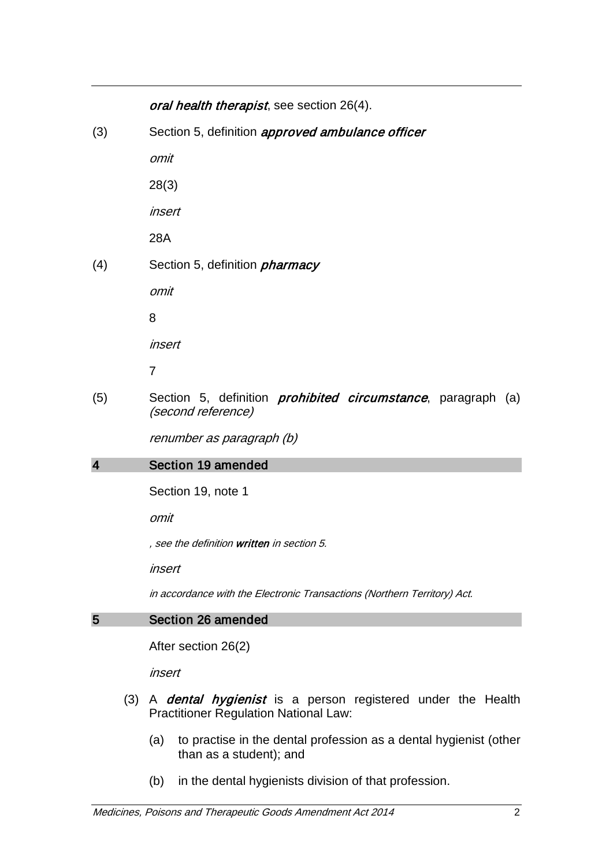## oral health therapist, see section 26(4).

(3) Section 5, definition *approved ambulance officer* 

omit

28(3)

insert

28A

(4) Section 5, definition *pharmacy* 

omit

8

insert

7

(5) Section 5, definition *prohibited circumstance*, paragraph (a) (second reference)

renumber as paragraph (b)

# 4 Section 19 amended

Section 19, note 1

omit

, see the definition written in section 5.

insert

in accordance with the Electronic Transactions (Northern Territory) Act.

# 5 Section 26 amended

After section 26(2)

insert

- (3) A *dental hygienist* is a person registered under the Health Practitioner Regulation National Law:
	- (a) to practise in the dental profession as a dental hygienist (other than as a student); and
	- (b) in the dental hygienists division of that profession.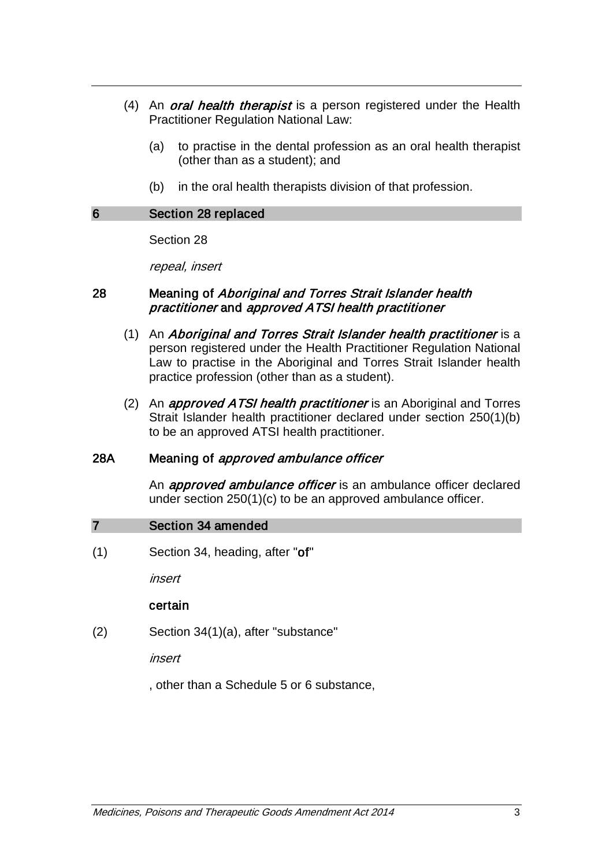- (4) An *oral health therapist* is a person registered under the Health Practitioner Regulation National Law:
	- (a) to practise in the dental profession as an oral health therapist (other than as a student); and
	- (b) in the oral health therapists division of that profession.

#### 6 Section 28 replaced

Section 28

repeal, insert

#### 28 Meaning of *Aboriginal and Torres Strait Islander health* practitioner and approved ATSI health practitioner

- (1) An Aboriginal and Torres Strait Islander health practitioner is a person registered under the Health Practitioner Regulation National Law to practise in the Aboriginal and Torres Strait Islander health practice profession (other than as a student).
- (2) An *approved ATSI health practitioner* is an Aboriginal and Torres Strait Islander health practitioner declared under section 250(1)(b) to be an approved ATSI health practitioner.

## 28A Meaning of *approved ambulance officer*

An *approved ambulance officer* is an ambulance officer declared under section 250(1)(c) to be an approved ambulance officer.

#### 7 Section 34 amended

(1) Section 34, heading, after "of"

insert

#### certain

(2) Section 34(1)(a), after "substance"

insert

, other than a Schedule 5 or 6 substance,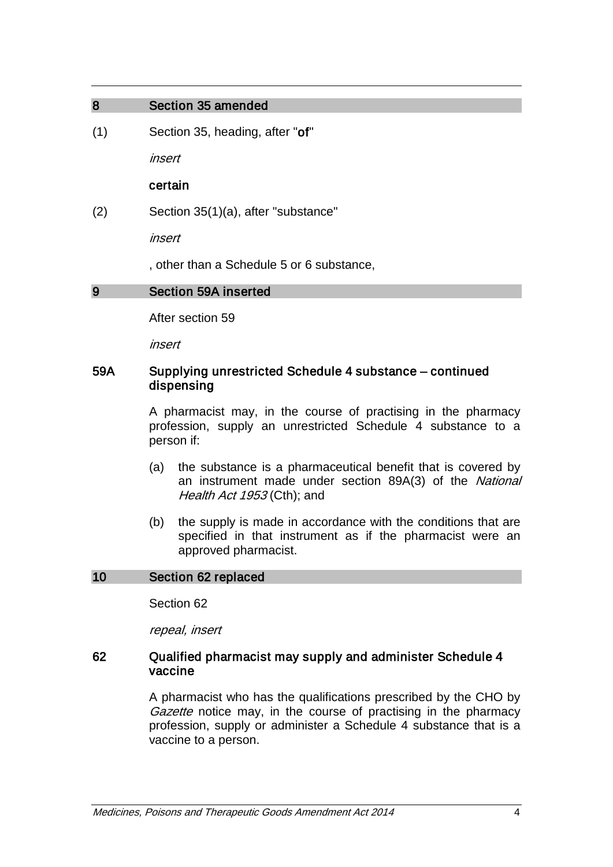#### 8 Section 35 amended

(1) Section 35, heading, after "of"

insert

#### certain

(2) Section 35(1)(a), after "substance"

insert

, other than a Schedule 5 or 6 substance,

#### 9 Section 59A inserted

After section 59

insert

#### 59A Supplying unrestricted Schedule 4 substance – continued dispensing

A pharmacist may, in the course of practising in the pharmacy profession, supply an unrestricted Schedule 4 substance to a person if:

- (a) the substance is a pharmaceutical benefit that is covered by an instrument made under section 89A(3) of the National Health Act 1953 (Cth); and
- (b) the supply is made in accordance with the conditions that are specified in that instrument as if the pharmacist were an approved pharmacist.

#### 10 Section 62 replaced

Section 62

repeal, insert

#### 62 Qualified pharmacist may supply and administer Schedule 4 vaccine

A pharmacist who has the qualifications prescribed by the CHO by Gazette notice may, in the course of practising in the pharmacy profession, supply or administer a Schedule 4 substance that is a vaccine to a person.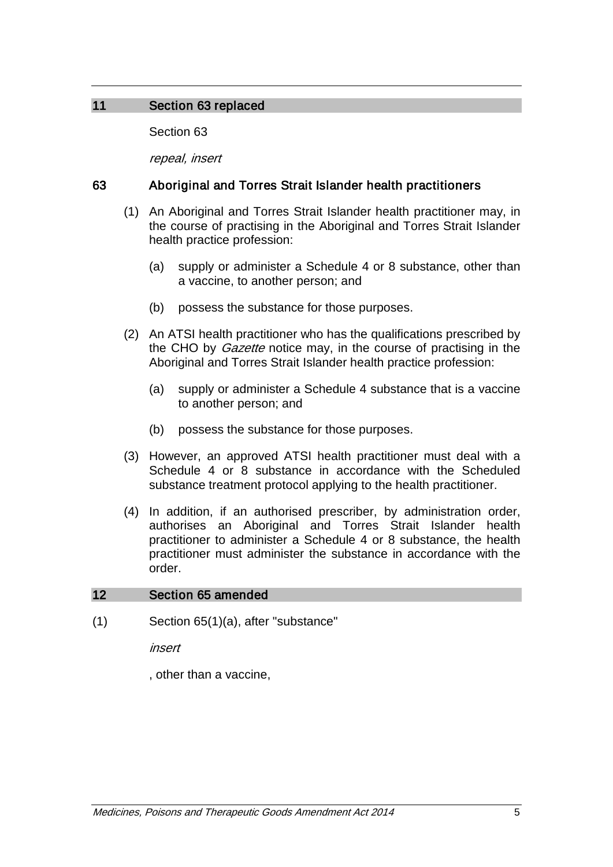# 11 Section 63 replaced

Section 63

repeal, insert

# 63 Aboriginal and Torres Strait Islander health practitioners

- (1) An Aboriginal and Torres Strait Islander health practitioner may, in the course of practising in the Aboriginal and Torres Strait Islander health practice profession:
	- (a) supply or administer a Schedule 4 or 8 substance, other than a vaccine, to another person; and
	- (b) possess the substance for those purposes.
- (2) An ATSI health practitioner who has the qualifications prescribed by the CHO by *Gazette* notice may, in the course of practising in the Aboriginal and Torres Strait Islander health practice profession:
	- (a) supply or administer a Schedule 4 substance that is a vaccine to another person; and
	- (b) possess the substance for those purposes.
- (3) However, an approved ATSI health practitioner must deal with a Schedule 4 or 8 substance in accordance with the Scheduled substance treatment protocol applying to the health practitioner.
- (4) In addition, if an authorised prescriber, by administration order, authorises an Aboriginal and Torres Strait Islander health practitioner to administer a Schedule 4 or 8 substance, the health practitioner must administer the substance in accordance with the order.

# 12 Section 65 amended

(1) Section 65(1)(a), after "substance"

insert

, other than a vaccine,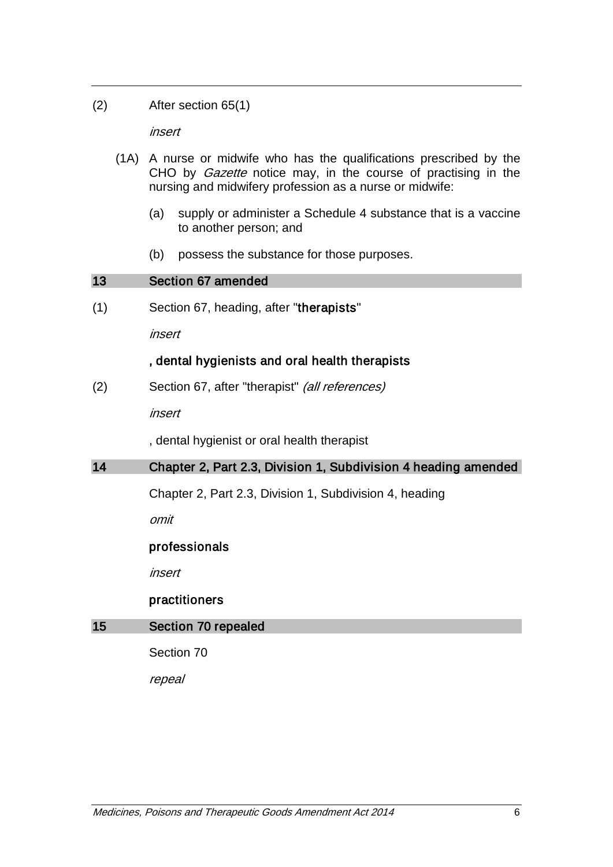(2) After section 65(1)

insert

- (1A) A nurse or midwife who has the qualifications prescribed by the CHO by *Gazette* notice may, in the course of practising in the nursing and midwifery profession as a nurse or midwife:
	- (a) supply or administer a Schedule 4 substance that is a vaccine to another person; and
	- (b) possess the substance for those purposes.

# 13 Section 67 amended (1) Section 67, heading, after "therapists" insert , dental hygienists and oral health therapists (2) Section 67, after "therapist" (all references) insert , dental hygienist or oral health therapist 14 Chapter 2, Part 2.3, Division 1, Subdivision 4 heading amended Chapter 2, Part 2.3, Division 1, Subdivision 4, heading omit professionals insert practitioners 15 Section 70 repealed

Section 70

repeal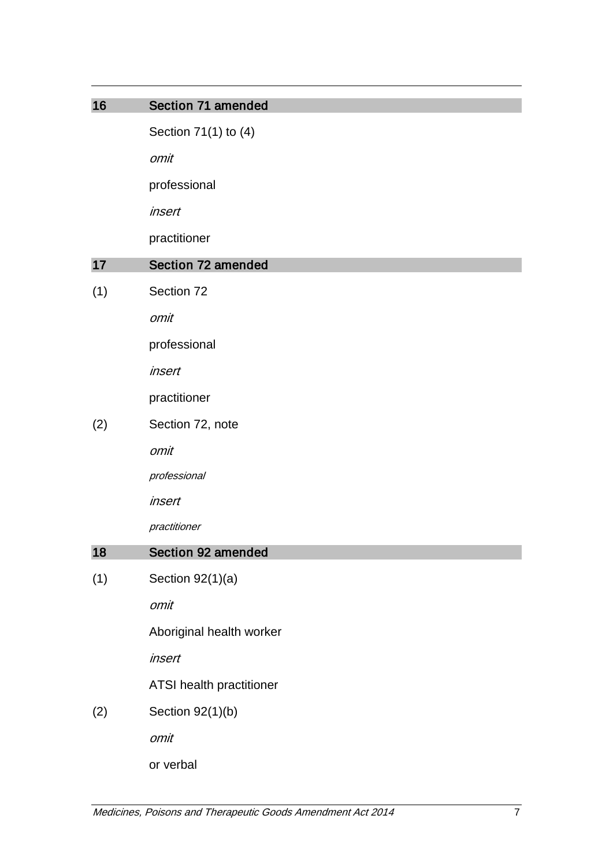| 16  | Section 71 amended        |
|-----|---------------------------|
|     | Section 71(1) to (4)      |
|     | omit                      |
|     | professional              |
|     | insert                    |
|     | practitioner              |
| 17  | <b>Section 72 amended</b> |
| (1) | Section 72                |
|     | omit                      |
|     | professional              |
|     | insert                    |
|     | practitioner              |
| (2) | Section 72, note          |
|     | omit                      |
|     | professional              |
|     | insert                    |
|     | practitioner              |
| 18  | Section 92 amended        |
| (1) | Section $92(1)(a)$        |
|     | omit                      |
|     | Aboriginal health worker  |
|     | insert                    |
|     | ATSI health practitioner  |
| (2) | Section 92(1)(b)          |
|     | omit                      |
|     | or verbal                 |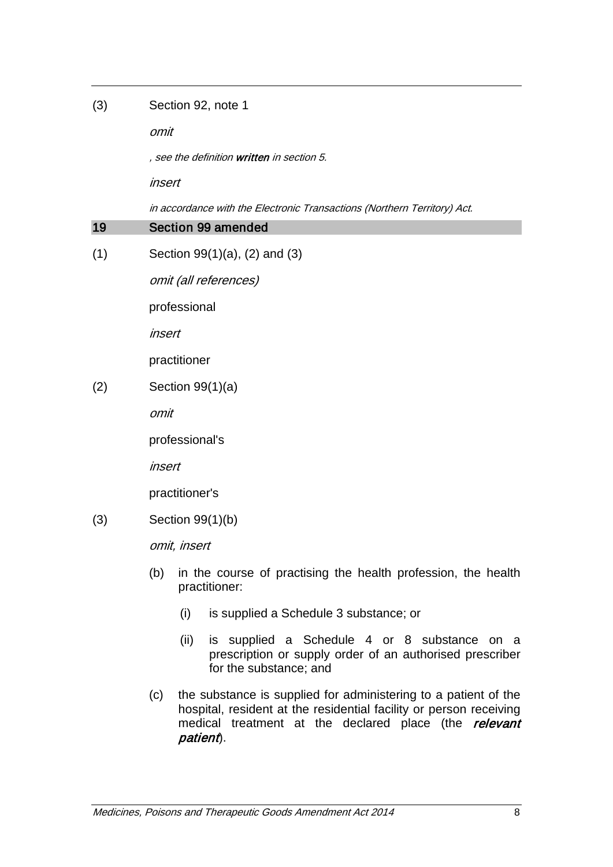#### (3) Section 92, note 1

omit

, see the definition written in section 5.

insert

in accordance with the Electronic Transactions (Northern Territory) Act.

# 19 Section 99 amended

(1) Section 99(1)(a), (2) and (3)

omit (all references)

professional

insert

practitioner

(2) Section 99(1)(a)

omit

professional's

insert

practitioner's

(3) Section 99(1)(b)

omit, insert

- (b) in the course of practising the health profession, the health practitioner:
	- (i) is supplied a Schedule 3 substance; or
	- (ii) is supplied a Schedule 4 or 8 substance on a prescription or supply order of an authorised prescriber for the substance; and
- (c) the substance is supplied for administering to a patient of the hospital, resident at the residential facility or person receiving medical treatment at the declared place (the relevant patient).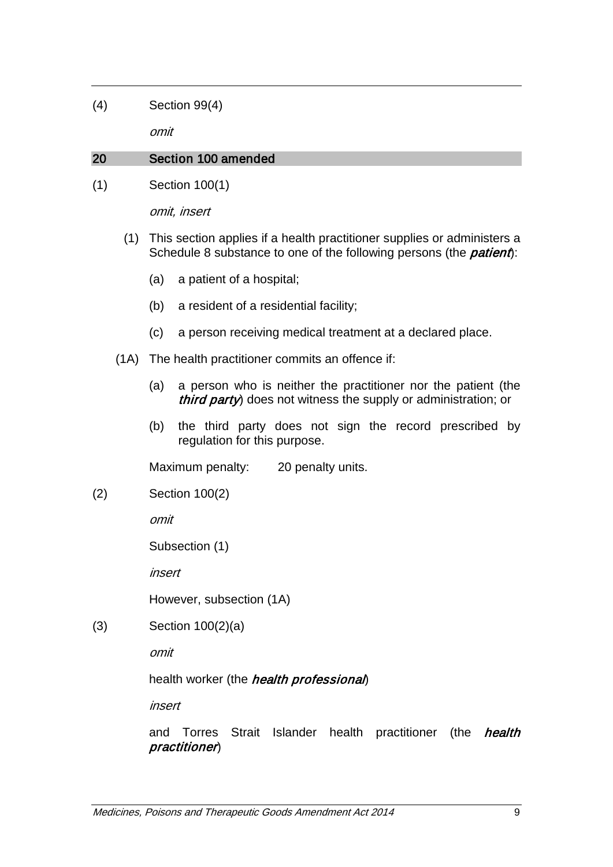(4) Section 99(4)

omit

# 20 Section 100 amended

(1) Section 100(1)

omit, insert

- (1) This section applies if a health practitioner supplies or administers a Schedule 8 substance to one of the following persons (the *patient*):
	- (a) a patient of a hospital;
	- (b) a resident of a residential facility;
	- (c) a person receiving medical treatment at a declared place.
- (1A) The health practitioner commits an offence if:
	- (a) a person who is neither the practitioner nor the patient (the third party) does not witness the supply or administration; or
	- (b) the third party does not sign the record prescribed by regulation for this purpose.

Maximum penalty: 20 penalty units.

(2) Section 100(2)

omit

Subsection (1)

insert

However, subsection (1A)

(3) Section 100(2)(a)

omit

health worker (the *health professional*)

insert

and Torres Strait Islander health practitioner (the health practitioner)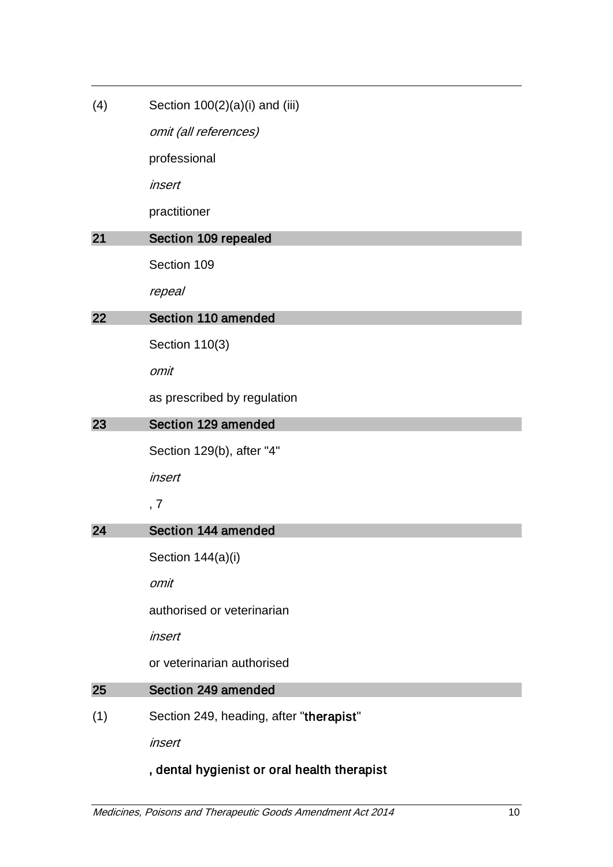| (4) | Section $100(2)(a)(i)$ and (iii) |  |
|-----|----------------------------------|--|
|-----|----------------------------------|--|

omit (all references)

professional

insert

practitioner

# 21 Section 109 repealed

Section 109

repeal

# 22 Section 110 amended

Section 110(3)

omit

as prescribed by regulation

## 23 Section 129 amended

Section 129(b), after "4"

insert

# , 7

# 24 Section 144 amended

Section 144(a)(i)

omit

authorised or veterinarian

insert

or veterinarian authorised

## 25 Section 249 amended

(1) Section 249, heading, after "therapist"

insert

# , dental hygienist or oral health therapist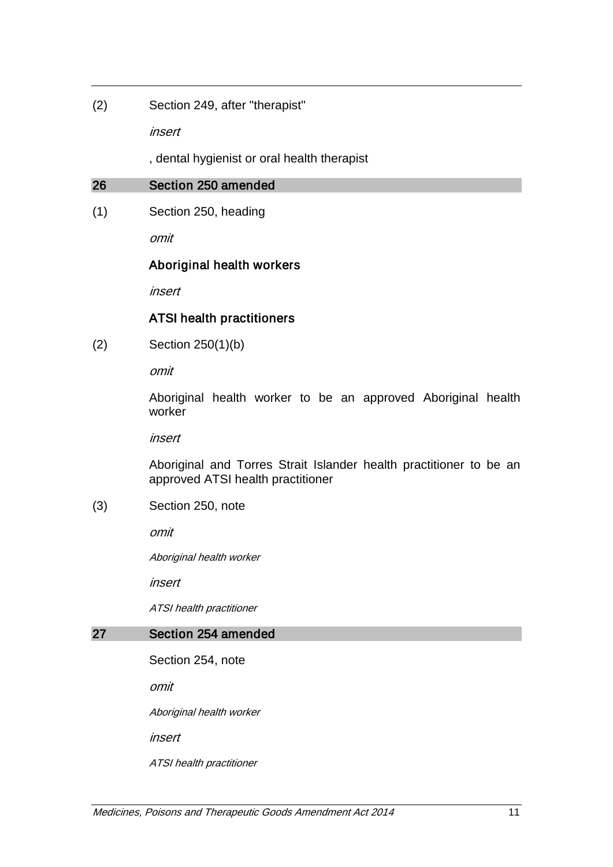(2) Section 249, after "therapist"

insert

, dental hygienist or oral health therapist

#### 26 Section 250 amended

(1) Section 250, heading

omit

# Aboriginal health workers

insert

# ATSI health practitioners

(2) Section 250(1)(b)

omit

Aboriginal health worker to be an approved Aboriginal health worker

insert

Aboriginal and Torres Strait Islander health practitioner to be an approved ATSI health practitioner

#### (3) Section 250, note

omit

Aboriginal health worker

insert

ATSI health practitioner

#### 27 Section 254 amended

Section 254, note

omit

Aboriginal health worker

insert

ATSI health practitioner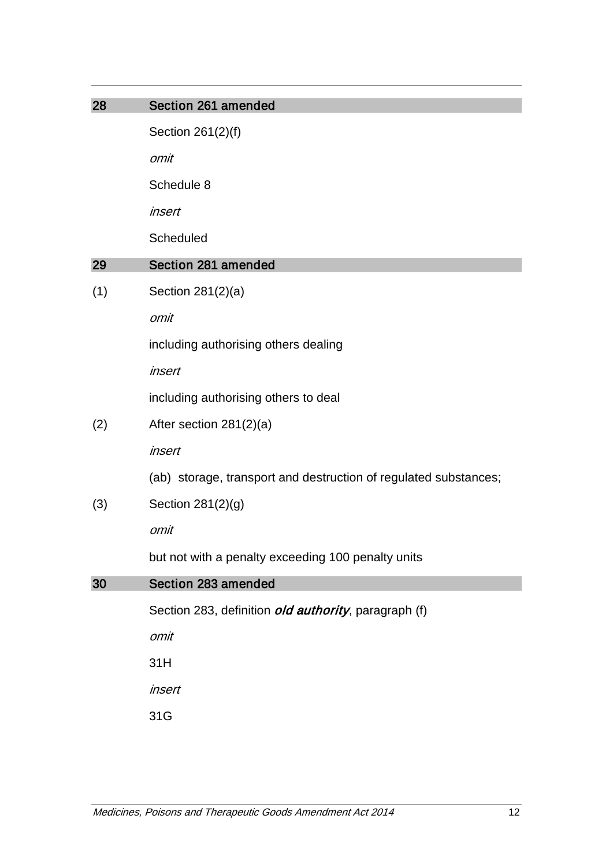| 28  | Section 261 amended                                              |
|-----|------------------------------------------------------------------|
|     | Section 261(2)(f)                                                |
|     | omit                                                             |
|     | Schedule 8                                                       |
|     | insert                                                           |
|     | Scheduled                                                        |
| 29  | Section 281 amended                                              |
| (1) | Section 281(2)(a)                                                |
|     | omit                                                             |
|     | including authorising others dealing                             |
|     | insert                                                           |
|     | including authorising others to deal                             |
| (2) | After section 281(2)(a)                                          |
|     | insert                                                           |
|     | (ab) storage, transport and destruction of regulated substances; |
| (3) | Section 281(2)(g)                                                |
|     | omit                                                             |
|     | but not with a penalty exceeding 100 penalty units               |
| 30  | Section 283 amended                                              |
|     | Section 283, definition <i>old authority</i> , paragraph (f)     |
|     | omit                                                             |
|     | 31H                                                              |
|     | insert                                                           |
|     | 31G                                                              |